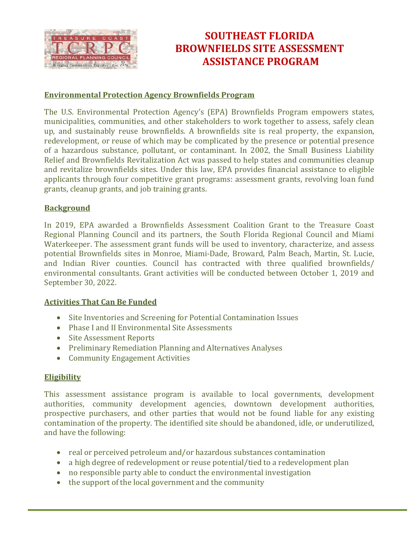

# **SOUTHEAST FLORIDA BROWNFIELDS SITE ASSESSMENT ASSISTANCE PROGRAM**

### **Environmental Protection Agency Brownfields Program**

The U.S. Environmental Protection Agency's (EPA) Brownfields Program empowers states, municipalities, communities, and other stakeholders to work together to assess, safely clean up, and sustainably reuse brownfields. A brownfields site is real property, the expansion, redevelopment, or reuse of which may be complicated by the presence or potential presence of a hazardous substance, pollutant, or contaminant. In 2002, the Small Business Liability Relief and Brownfields Revitalization Act was passed to help states and communities cleanup and revitalize brownfields sites. Under this law, EPA provides financial assistance to eligible applicants through four competitive grant programs: assessment grants, revolving loan fund grants, cleanup grants, and job training grants.

#### **Background**

In 2019, EPA awarded a Brownfields Assessment Coalition Grant to the Treasure Coast Regional Planning Council and its partners, the South Florida Regional Council and Miami Waterkeeper. The assessment grant funds will be used to inventory, characterize, and assess potential Brownfields sites in Monroe, Miami-Dade, Broward, Palm Beach, Martin, St. Lucie, and Indian River counties. Council has contracted with three qualified brownfields/ environmental consultants. Grant activities will be conducted between October 1, 2019 and September 30, 2022.

#### **Activities That Can Be Funded**

- Site Inventories and Screening for Potential Contamination Issues
- Phase I and II Environmental Site Assessments
- Site Assessment Reports
- Preliminary Remediation Planning and Alternatives Analyses
- Community Engagement Activities

#### **Eligibility**

This assessment assistance program is available to local governments, development authorities, community development agencies, downtown development authorities, prospective purchasers, and other parties that would not be found liable for any existing contamination of the property. The identified site should be abandoned, idle, or underutilized, and have the following:

- real or perceived petroleum and/or hazardous substances contamination
- a high degree of redevelopment or reuse potential/tied to a redevelopment plan
- no responsible party able to conduct the environmental investigation
- the support of the local government and the community